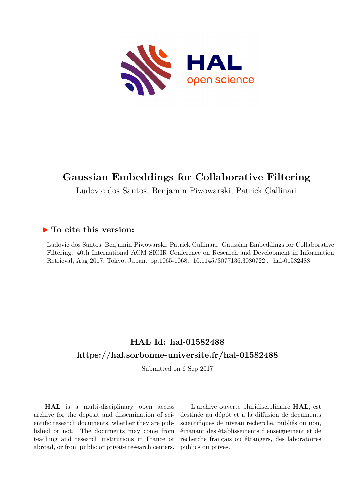

# **Gaussian Embeddings for Collaborative Filtering**

Ludovic dos Santos, Benjamin Piwowarski, Patrick Gallinari

# **To cite this version:**

Ludovic dos Santos, Benjamin Piwowarski, Patrick Gallinari. Gaussian Embeddings for Collaborative Filtering. 40th International ACM SIGIR Conference on Research and Development in Information Retrieval, Aug 2017, Tokyo, Japan. pp.1065-1068, 10.1145/3077136.3080722. hal-01582488

# **HAL Id: hal-01582488 <https://hal.sorbonne-universite.fr/hal-01582488>**

Submitted on 6 Sep 2017

**HAL** is a multi-disciplinary open access archive for the deposit and dissemination of scientific research documents, whether they are published or not. The documents may come from teaching and research institutions in France or abroad, or from public or private research centers.

L'archive ouverte pluridisciplinaire **HAL**, est destinée au dépôt et à la diffusion de documents scientifiques de niveau recherche, publiés ou non, émanant des établissements d'enseignement et de recherche français ou étrangers, des laboratoires publics ou privés.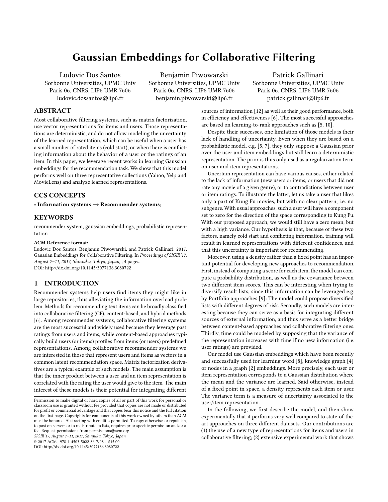# Gaussian Embeddings for Collaborative Filtering

Ludovic Dos Santos Sorbonne Universities, UPMC Univ Paris 06, CNRS, LIP6 UMR 7606 ludovic.dossantos@lip6.fr

Benjamin Piwowarski Sorbonne Universities, UPMC Univ Paris 06, CNRS, LIP6 UMR 7606 benjamin.piwowarski@lip6.fr

Patrick Gallinari Sorbonne Universities, UPMC Univ Paris 06, CNRS, LIP6 UMR 7606 patrick.gallinari@lip6.fr

## ABSTRACT

Most collaborative filtering systems, such as matrix factorization, use vector representations for items and users. Those representations are deterministic, and do not allow modeling the uncertainty of the learned representation, which can be useful when a user has a small number of rated items (cold start), or when there is conflicting information about the behavior of a user or the ratings of an item. In this paper, we leverage recent works in learning Gaussian embeddings for the recommendation task. We show that this model performs well on three representative collections (Yahoo, Yelp and MovieLens) and analyze learned representations.

# CCS CONCEPTS

• Information systems  $\rightarrow$  Recommender systems;

#### **KEYWORDS**

recommender system, gaussian embeddings, probabilistic representation

#### ACM Reference format:

Ludovic Dos Santos, Benjamin Piwowarski, and Patrick Gallinari. 2017. Gaussian Embeddings for Collaborative Filtering. In Proceedings of SIGIR'17, August 7–11, 2017, Shinjuku, Tokyo, Japan, , 4 pages. DOI: http://dx.doi.org/10.1145/3077136.3080722

# 1 INTRODUCTION

Recommender systems help users find items they might like in large repositories, thus alleviating the information overload problem. Methods for recommending text items can be broadly classified into collaborative filtering (CF), content-based, and hybrid methods [6]. Among recommender systems, collaborative filtering systems are the most successful and widely used because they leverage past ratings from users and items, while content-based approaches typically build users (or items) profiles from items (or users) predefined representations. Among collaborative recommender systems we are interested in those that represent users and items as vectors in a common latent recommendation space. Matrix factorization derivatives are a typical example of such models. The main assumption is that the inner product between a user and an item representation is correlated with the rating the user would give to the item. The main interest of these models is their potential for integrating different

SIGIR'17, August 7–11, 2017, Shinjuku, Tokyo, Japan

© 2017 ACM. 978-1-4503-5022-8/17/08...\$15.00

DOI: http://dx.doi.org/10.1145/3077136.3080722

sources of information [12] as well as their good performance, both in efficiency and effectiveness [6]. The most successful approaches are based on learning-to-rank approaches such as [5, 10].

Despite their successes, one limitation of those models is their lack of handling of uncertainty. Even when they are based on a probabilistic model, e.g. [5, 7], they only suppose a Gaussian prior over the user and item embeddings but still learn a deterministic representation. The prior is thus only used as a regularization term on user and item representations.

Uncertain representation can have various causes, either related to the lack of information (new users or items, or users that did not rate any movie of a given genre), or to contradictions between user or item ratings. To illustrate the latter, let us take a user that likes only a part of Kung Fu movies, but with no clear pattern, i.e. no subgenre. With usual approaches, such a user will have a component set to zero for the direction of the space corresponding to Kung Fu. With our proposed approach, we would still have a zero mean, but with a high variance. Our hypothesis is that, because of these two factors, namely cold start and conflicting information, training will result in learned representations with different confidences, and that this uncertainty is important for recommending.

Moreover, using a density rather than a fixed point has an important potential for developing new approaches to recommendation. First, instead of computing a score for each item, the model can compute a probability distribution, as well as the covariance between two different item scores. This can be interesting when trying to diversify result lists, since this information can be leveraged e.g. by Portfolio approaches [9]: The model could propose diversified lists with different degrees of risk. Secondly, such models are interesting because they can serve as a basis for integrating different sources of external information, and thus serve as a better bridge between content-based approaches and collaborative filtering ones. Thirdly, time could be modeled by supposing that the variance of the representation increases with time if no new information (i.e. user ratings) are provided.

Our model use Gaussian embeddings which have been recently and successfully used for learning word [8], knowledge graph [4] or nodes in a graph [2] embeddings. More precisely, each user or item representation corresponds to a Gaussian distribution where the mean and the variance are learned. Said otherwise, instead of a fixed point in space, a density represents each item or user. The variance term is a measure of uncertainty associated to the user/item representation.

In the following, we first describe the model, and then show experimentally that it performs very well compared to state-of-theart approaches on three different datasets. Our contributions are (1) the use of a new type of representations for items and users in collaborative filtering; (2) extensive experimental work that shows

Permission to make digital or hard copies of all or part of this work for personal or classroom use is granted without fee provided that copies are not made or distributed for profit or commercial advantage and that copies bear this notice and the full citation on the first page. Copyrights for components of this work owned by others than  $\rm{ACM}$ must be honored. Abstracting with credit is permitted. To copy otherwise, or republish, to post on servers or to redistribute to lists, requires prior specific permission and/or a fee. Request permissions from permissions@acm.org.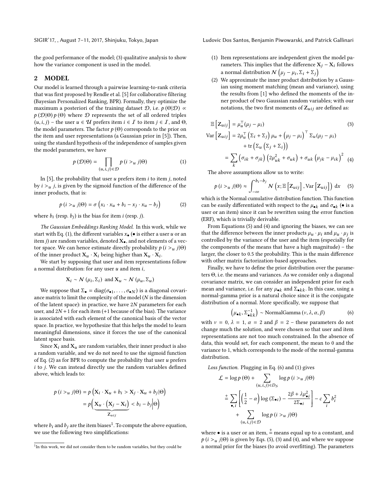the good performance of the model; (3) qualitative analysis to show how the variance component is used in the model.

## 2 MODEL

Our model is learned through a pairwise learning-to-rank criteria that was first proposed by Rendle et al. [5] for collaborative filtering (Bayesian Personalized Ranking, BPR). Formally, they optimize the maximum a posteriori of the training dataset  $\mathcal{D}$ , i.e.  $p(\Theta|\mathcal{D}) \propto$  $p(\mathcal{D}|\Theta) p(\Theta)$  where  $\mathcal D$  represents the set of all ordered triples  $(u, i, j)$  – the user  $u \in \mathcal{U}$  prefers item  $i \in \mathcal{I}$  to item  $j \in \mathcal{I}$ , and  $\Theta$ , the model parameters. The factor  $p(\Theta)$  corresponds to the prior on the item and user representations (a Gaussian prior in [5]). Then, using the standard hypothesis of the independence of samples given the model parameters, we have

$$
p(\mathcal{D}|\Theta) = \prod_{(u,i,j)\in\mathcal{D}} p(i >_u j|\Theta)
$$
 (1)

In [5], the probability that user  $u$  prefers item  $i$  to item  $j$ , noted by  $i > u$  j, is given by the sigmoid function of the difference of the inner products, that is:

$$
p(i >_u j | \Theta) = \sigma\left(x_i \cdot x_u + b_i - x_j \cdot x_u - b_j\right) \tag{2}
$$

where  $b_i$  (resp.  $b_j$ ) is the bias for item *i* (resp. *j*).

The Gaussian Embeddings Ranking Model. In this work, while we start with Eq. (1), the different variables  $x_{\bullet}$  ( $\bullet$  is either a user u or an item *j*) are random variables, denoted  $X_{\bullet}$ , and not elements of a vector space. We can hence estimate directly probability  $p(i > u j | \Theta)$ of the inner product  $X_u \cdot X_i$  being higher than  $X_u \cdot X_i$ .

We start by supposing that user and item representations follow a normal distribution: for any user  $u$  and item  $i$ ,

$$
X_i \sim \mathcal{N}(\mu_i, \Sigma_i)
$$
 and  $X_u \sim \mathcal{N}(\mu_u, \Sigma_u)$ 

We suppose that  $\Sigma_{\bullet} = \text{diag}(\sigma_{\bullet 1}, \ldots, \sigma_{\bullet N})$  is a diagonal covariance matrix to limit the complexity of the model (N is the dimension of the latent space): in practice, we have <sup>2</sup>N parameters for each user, and  $2N + 1$  for each item (+1 because of the bias). The variance is associated with each element of the canonical basis of the vector space. In practice, we hypothesize that this helps the model to learn meaningful dimensions, since it forces the use of the canonical latent space basis.

Since  $X_i$  and  $X_u$  are random variables, their inner product is also a random variable, and we do not need to use the sigmoid function of Eq.  $(2)$  as for BPR to compute the probability that user u prefers  $i$  to  $j$ . We can instead directly use the random variables defined above, which leads to:

$$
p(i > u j | \Theta) = p\left(X_i \cdot X_u + b_i > X_j \cdot X_u + b_j | \Theta\right)
$$

$$
= p\left(\underbrace{X_u \cdot \left(X_j - X_i\right)}_{Z_{uij}} < b_i - b_j | \Theta\right)
$$

where  $b_i$  and  $b_j$  are the item biases<sup>1</sup>. To compute the above equation, we use the following two simplications:

SIGIR'17, , August 7–11, 2017, Shinjuku, Tokyo, Japan Ludovic Dos Santos, Benjamin Piwowarski, and Patrick Gallinari

- (1) Item representations are independent given the model parameters. This implies that the difference  $X_i - X_i$  follows a normal distribution  $\mathcal{N}\left(\mu_j - \mu_i, \Sigma_i + \Sigma_j\right)$ <br>We approximate the inner product distribution
- (2) We approximate the inner product distribution by a Gaussian using moment matching (mean and variance), using the results from [1] who defined the moments of the inner product of two Gaussian random variables; with our notations, the two first moments of  $Z_{uij}$  are defined as:

$$
\mathbb{E}\left[Z_{uij}\right] = \mu_u^{\top}(\mu_j - \mu_i)
$$
\n
$$
\text{Var}\left[Z_{uij}\right] = 2\mu_u^{\top}\left(\Sigma_i + \Sigma_j\right)\mu_u + \left(\mu_j - \mu_i\right)^{\top}\Sigma_u(\mu_j - \mu_i)
$$
\n
$$
+ \text{tr}\left(\Sigma_u\left(\Sigma_j + \Sigma_i\right)\right)
$$
\n
$$
= \sum_k \left(\sigma_{ik} + \sigma_{jk}\right)\left(2\mu_{uk}^2 + \sigma_{uk}\right) + \sigma_{uk}\left(\mu_{jk} - \mu_{ik}\right)^2
$$
\n(4)

The above assumptions allow us to write:

$$
p(i >_u j | \Theta) \approx \int_{-\infty}^{b_i - b_j} \mathcal{N}\left(x; \mathbb{E}\left[Z_{uij}\right], \text{Var}\left[Z_{uij}\right]\right) \, \mathrm{d}x \quad (5)
$$

which is the Normal cumulative distribution function. This function can be easily differentiated with respect to the  $\mu_{\bullet k}$  and  $\sigma_{\bullet k}$  ( $\bullet$  is a user or an item) since it can be rewritten using the error function user or an item) since it can be rewritten using the error function (ERF), which is trivially derivable.

From Equations (5) and (4) and ignoring the biases, we can see that the difference between the inner products  $\mu_u \cdot \mu_i$  and  $\mu_u \cdot \mu_j$  is<br>controlled by the variance of the user and the item (especially for controlled by the variance of the user and the item (especially for the components of the means that have a high magnitude) – the larger, the closer to 0.5 the probability. This is the main difference with other matrix factorization-based approaches.

Finally, we have to define the prior distribution over the parameters Θ, i.e. the means and variances. As we consider only a diagonal covariance matrix, we can consider an independent prior for each mean and variance, i.e. for any  $\mu_{\bullet k}$  and  $\Sigma_{\bullet kk}$ . In this case, using a normal-gamma prior is a natural choice since it is the conjugate distribution of a normal. More specifically, we suppose that

$$
\left(\mu_{\bullet k}, \Sigma_{\bullet k k}^{-1}\right) \sim \text{NormalGamma}\left(v, \lambda, \alpha, \beta\right) \tag{6}
$$

with  $v = 0$ ,  $\lambda = 1$ ,  $\alpha = 2$  and  $\beta = 2$  – these parameters do not change much the solution and were chosen so that user and item change much the solution, and were chosen so that user and item representations are not too much constrained. In the absence of data, this would set, for each component, the mean to 0 and the variance to 1, which corresponds to the mode of the normal-gamma distribution.

Loss function. Plugging in Eq. (6) and (1) gives

$$
\mathcal{L} = \log p(\Theta) + \sum_{(u,i,j) \in D_S} \log p(i > u | \Theta)
$$
  
\n
$$
\stackrel{+}{=} \sum_{\bullet,i} \left[ \left( \frac{1}{2} - \alpha \right) \log \left( \Sigma_{\bullet i} \right) - \frac{2\beta + \lambda \mu_{\bullet i}^2}{2\Sigma_{\bullet i}} \right] - c \sum_{i} b_i^2
$$
  
\n
$$
+ \sum_{(u,i,j) \in \mathcal{D}} \log p(i > u | \Theta)
$$

where  $\bullet$  is a user or an item,  $\stackrel{+}{=}$  means equal up to a constant, and  $p(i > u j | \Theta)$  is given by Eqs. (5), (3) and (4), and where we suppose a normal prior for the biases (to avoid overfitting). The parameters

<sup>&</sup>lt;sup>1</sup>In this work, we did not consider them to be random variables, but they could be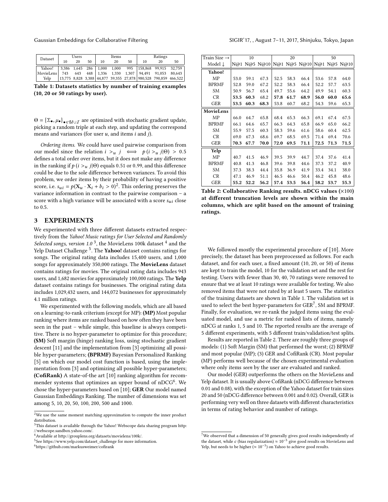| Dataset                                                                  | Users |    |    |    | Items |    | Ratings |                                                                     |    |  |
|--------------------------------------------------------------------------|-------|----|----|----|-------|----|---------|---------------------------------------------------------------------|----|--|
|                                                                          | 10    | 20 | 50 | 10 | 20    | 50 | 10      | 20                                                                  | 50 |  |
| Yahoo! 3,386 1,645 286 1,000 1,000 995 158,868 99,915 32,759             |       |    |    |    |       |    |         |                                                                     |    |  |
| MovieLens   743  643  448    1,336  1,330  1,307  94,491  91,053  80,643 |       |    |    |    |       |    |         |                                                                     |    |  |
| Yelp                                                                     |       |    |    |    |       |    |         | 13,775 8,828 3,388   44,877 39,355 27,878   980,528 790,859 466,522 |    |  |

Table 1: Datasets statistics by number of training examples (10, 20 or 50 ratings by user).

 $\Theta = {\Sigma_{\bullet}, \mu_{\bullet}}_{\bullet \in \mathcal{U} \cup \mathcal{I}}$  are optimized with stochastic gradient update, nicking a random triple at each stap and updating the correspond picking a random triple at each step, and updating the correspond means and variances (for user  $u$ , and items  $i$  and  $j$ ).

Ordering items. We could have used pairwise comparison from our model since the relation  $i > u$   $j \iff p(i > u$   $j | \Theta) > 0.5$ defines a total order over items, but it does not make any difference in the ranking if  $p(i > u_j | \Theta)$  equals 0.51 or 0.99, and this difference could be due to the sole difference between variances. To avoid this problem, we order items by their probability of having a positive score, i.e.  $s_{ui} = p(X_u \cdot X_i + b_i > 0)^2$ . This ordering preserves the variance information in contrast to the pairwise comparison – a variance information in contrast to the pairwise comparison – a score with a high variance will be associated with a score  $s_{ui}$  close to 0.5.

### 3 EXPERIMENTS

We experimented with three different datasets extracted respectively from the Yahoo! Music ratings for User Selected and Randomly Selected songs, version 1.0<sup>3</sup>, the MovieLens 100k dataset  $^4$  and the Yelp Dataset Challenge<sup>5</sup>. The Yahoo! dataset contains ratings for songs. The original rating data includes 15,400 users, and 1,000 songs for approximately 350,000 ratings. The MovieLens dataset contains ratings for movies. The original rating data includes 943 users, and 1,682 movies for approximately 100,000 ratings. The Yelp dataset contains ratings for businesses. The original rating data includes 1,029,432 users, and 144,072 businesses for approximately 4.1 million ratings.

We experimented with the following models, which are all based on a learning-to-rank criterium (except for MP): (MP) Most popular ranking where items are ranked based on how often they have been seen in the past – while simple, this baseline is always competitive. There is no hyper-parameter to optimize for this procedure; (SM) Soft margin (hinge) ranking loss, using stochastic gradient descent [11] and the implementation from [3] optimizing all possible hyper-parameters; (BPRMF) Bayesian Personalized Ranking [5] on which our model cost function is based, using the implementation from [3] and optimizing all possible hyper-parameters; (CofiRank) A state-of-the art [10] ranking algorithm for recommender systems that optimizes an upper bound of nDCG<sup>6</sup>. We chose the hyper-parameters based on [10]; GER Our model named Gaussian Embeddings Ranking. The number of dimensions was set among 5, 10, 20, 50, 100, 200, 500 and 1000.

 $6$ https://github.com/markusweimer/cofirank

| Train Size $\rightarrow$ |      | 10   |                                        |      | 20   |      | 50   |      |      |
|--------------------------|------|------|----------------------------------------|------|------|------|------|------|------|
| Model J                  |      |      | N@1 N@5 N@10 N@1 N@5 N@10 N@1 N@5 N@10 |      |      |      |      |      |      |
| Yahoo!                   |      |      |                                        |      |      |      |      |      |      |
| MP                       | 53.0 | 59.1 | 67.3                                   | 52.5 | 58.3 | 66.4 | 53.6 | 57.8 | 64.0 |
| <b>BPRMF</b>             | 52.8 | 59.0 | 67.2                                   | 52.2 | 58.3 | 66.4 | 52.2 | 57.7 | 63.5 |
| SM                       | 50.9 | 56.7 | 65.4                                   | 49.7 | 55.6 | 64.2 | 49.9 | 54.1 | 60.3 |
| <b>CR</b>                | 53.5 | 60.3 | 68.2                                   | 57.8 | 61.7 | 68.9 | 56.0 | 60.0 | 65.6 |
| <b>GER</b>               | 53.5 | 60.3 | 68.3                                   | 53.8 | 60.7 | 68.2 | 54.3 | 59.6 | 65.3 |
| MovieLens                |      |      |                                        |      |      |      |      |      |      |
| MP                       | 66.0 | 64.7 | 65.8                                   | 68.4 | 65.3 | 66.3 | 69.1 | 67.4 | 67.5 |
| <b>BPRMF</b>             | 66.1 | 64.6 | 65.7                                   | 66.3 | 64.3 | 65.8 | 66.9 | 65.0 | 66.2 |
| SM                       | 55.9 | 57.5 | 60.3                                   | 58.3 | 59.6 | 61.6 | 58.6 | 60.4 | 62.5 |
| <b>CR</b>                | 69.0 | 67.3 | 68.6                                   | 69.7 | 68.5 | 69.5 | 71.4 | 69.4 | 70.6 |
| <b>GER</b>               | 70.3 | 67.7 | 70.0                                   | 72.0 | 69.5 | 71.1 | 72.5 | 71.3 | 71.5 |
| Yelp                     |      |      |                                        |      |      |      |      |      |      |
| MΡ                       | 40.7 | 41.5 | 46.9                                   | 39.5 | 39.9 | 44.7 | 37.4 | 37.6 | 41.4 |
| <b>BPRMF</b>             | 40.8 | 41.3 | 46.8                                   | 39.6 | 39.8 | 44.6 | 37.3 | 37.2 | 40.9 |
| SM                       | 37.3 | 38.3 | 44.4                                   | 35.8 | 36.9 | 41.9 | 33.4 | 34.1 | 38.0 |
| <b>CR</b>                | 47.1 | 46.9 | 51.1                                   | 46.5 | 46.6 | 50.4 | 46.2 | 45.8 | 48.6 |
| GER                      | 55.2 | 52.2 | 56.2                                   | 57.4 | 53.5 | 56.4 | 58.2 | 53.7 | 55.3 |

Table 2: Collaborative Ranking results. nDCG values (×100) at different truncation levels are shown within the main columns, which are split based on the amount of training ratings.

We followed mostly the experimental procedure of [10]. More precisely, the dataset has been preprocessed as follows. For each dataset, and for each user, a fixed amount (10, 20, or 50) of items are kept to train the model, 10 for the validation set and the rest for testing. Users with fewer than 30, 40, 70 ratings were removed to ensure that we at least 10 ratings were available for testing. We also removed items that were not rated by at least 5 users. The statistics of the training datasets are shown in Table 1. The validation set is used to select the best hyper-parameters for GER<sup>7</sup>, SM and BPRMF. Finally, for evaluation, we re-rank the judged items using the evaluated model, and use a metric for ranked lists of items, namely nDCG at ranks 1, 5 and 10. The reported results are the average of 5 different experiments, with 5 different train/validation/test splits.

Results are reported in Table 2. There are roughly three groups of models: (1) Soft Margin (SM) that performed the worst; (2) BPRMF and most popular (MP); (3) GER and CofiRank (CR). Most popular (MP) performs well because of the chosen experimental evaluation where only items seen by the user are evaluated and ranked.

Our model (GER) outperforms the others on the MovieLens and Yelp dataset. It is usually above CofiRank (nDCG difference between 0.01 and 0.08), with the exception of the Yahoo dataset for train sizes 20 and 50 (nDCG difference between 0.001 and 0.02). Overall, GER is performing very well on three datasets with different characteristics in terms of rating behavior and number of ratings.

 $2$ We use the same moment matching approximation to compute the inner product distribution.

 $3$ This dataset is available through the Yahoo! Webscope data sharing program [http:](http://webscope.sandbox.yahoo.com/) [//webscope.sandbox.yahoo.com/.](http://webscope.sandbox.yahoo.com/)

<sup>4</sup>Available at [http://grouplens.org/datasets/movielens/100k/.](http://grouplens.org/datasets/movielens/100k/)

<sup>5</sup> See [https://www.yelp.com/dataset\\_challenge](https://www.yelp.com/dataset_challenge) for more information.

 $^7\rm{We}$  observed that a dimension of 50 generally gives good results independently of the dataset, while c (bias regularization)  $\approx 10^{-5}$  give good results on MovieLens and Yelp, but needs to be higher ( $\approx 10^{-3}$ ) on Yahoo to achieve good results.